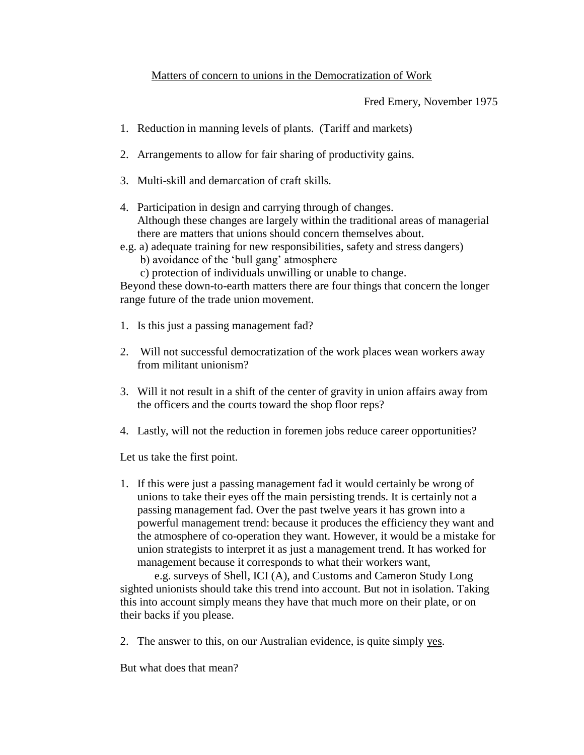## Matters of concern to unions in the Democratization of Work

Fred Emery, November 1975

- 1. Reduction in manning levels of plants. (Tariff and markets)
- 2. Arrangements to allow for fair sharing of productivity gains.
- 3. Multi-skill and demarcation of craft skills.
- 4. Participation in design and carrying through of changes. Although these changes are largely within the traditional areas of managerial there are matters that unions should concern themselves about.
- e.g. a) adequate training for new responsibilities, safety and stress dangers) b) avoidance of the 'bull gang' atmosphere
	- c) protection of individuals unwilling or unable to change.

Beyond these down-to-earth matters there are four things that concern the longer range future of the trade union movement.

- 1. Is this just a passing management fad?
- 2. Will not successful democratization of the work places wean workers away from militant unionism?
- 3. Will it not result in a shift of the center of gravity in union affairs away from the officers and the courts toward the shop floor reps?
- 4. Lastly, will not the reduction in foremen jobs reduce career opportunities?

Let us take the first point.

1. If this were just a passing management fad it would certainly be wrong of unions to take their eyes off the main persisting trends. It is certainly not a passing management fad. Over the past twelve years it has grown into a powerful management trend: because it produces the efficiency they want and the atmosphere of co-operation they want. However, it would be a mistake for union strategists to interpret it as just a management trend. It has worked for management because it corresponds to what their workers want,

e.g. surveys of Shell, ICI (A), and Customs and Cameron Study Long sighted unionists should take this trend into account. But not in isolation. Taking this into account simply means they have that much more on their plate, or on their backs if you please.

2. The answer to this, on our Australian evidence, is quite simply yes.

But what does that mean?